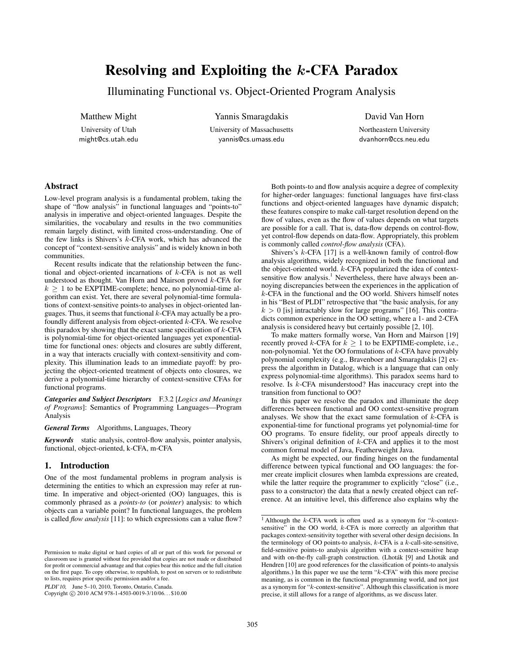# Resolving and Exploiting the k-CFA Paradox

Illuminating Functional vs. Object-Oriented Program Analysis

Matthew Might

University of Utah might@cs.utah.edu

Yannis Smaragdakis University of Massachusetts yannis@cs.umass.edu

David Van Horn

Northeastern University dvanhorn@ccs.neu.edu

# Abstract

Low-level program analysis is a fundamental problem, taking the shape of "flow analysis" in functional languages and "points-to" analysis in imperative and object-oriented languages. Despite the similarities, the vocabulary and results in the two communities remain largely distinct, with limited cross-understanding. One of the few links is Shivers's k-CFA work, which has advanced the concept of "context-sensitive analysis" and is widely known in both communities.

Recent results indicate that the relationship between the functional and object-oriented incarnations of k-CFA is not as well understood as thought. Van Horn and Mairson proved k-CFA for  $k \geq 1$  to be EXPTIME-complete; hence, no polynomial-time algorithm can exist. Yet, there are several polynomial-time formulations of context-sensitive points-to analyses in object-oriented languages. Thus, it seems that functional  $k$ -CFA may actually be a profoundly different analysis from object-oriented k-CFA. We resolve this paradox by showing that the exact same specification of  $k$ -CFA is polynomial-time for object-oriented languages yet exponentialtime for functional ones: objects and closures are subtly different, in a way that interacts crucially with context-sensitivity and complexity. This illumination leads to an immediate payoff: by projecting the object-oriented treatment of objects onto closures, we derive a polynomial-time hierarchy of context-sensitive CFAs for functional programs.

*Categories and Subject Descriptors* F.3.2 [*Logics and Meanings of Programs*]: Semantics of Programming Languages—Program Analysis

*General Terms* Algorithms, Languages, Theory

*Keywords* static analysis, control-flow analysis, pointer analysis, functional, object-oriented, k-CFA, m-CFA

# 1. Introduction

One of the most fundamental problems in program analysis is determining the entities to which an expression may refer at runtime. In imperative and object-oriented (OO) languages, this is commonly phrased as a *points-to* (or *pointer*) analysis: to which objects can a variable point? In functional languages, the problem is called *flow analysis* [11]: to which expressions can a value flow?

PLDI'10, June 5–10, 2010, Toronto, Ontario, Canada.

Copyright © 2010 ACM 978-1-4503-0019-3/10/06... \$10.00

Both points-to and flow analysis acquire a degree of complexity for higher-order languages: functional languages have first-class functions and object-oriented languages have dynamic dispatch; these features conspire to make call-target resolution depend on the flow of values, even as the flow of values depends on what targets are possible for a call. That is, data-flow depends on control-flow, yet control-flow depends on data-flow. Appropriately, this problem is commonly called *control-flow analysis* (CFA).

Shivers's  $k$ -CFA [17] is a well-known family of control-flow analysis algorithms, widely recognized in both the functional and the object-oriented world. k-CFA popularized the idea of contextsensitive flow analysis.<sup>1</sup> Nevertheless, there have always been annoying discrepancies between the experiences in the application of  $k$ -CFA in the functional and the OO world. Shivers himself notes in his "Best of PLDI" retrospective that "the basic analysis, for any  $k > 0$  [is] intractably slow for large programs" [16]. This contradicts common experience in the OO setting, where a 1- and 2-CFA analysis is considered heavy but certainly possible [2, 10].

To make matters formally worse, Van Horn and Mairson [19] recently proved k-CFA for  $k \geq 1$  to be EXPTIME-complete, i.e., non-polynomial. Yet the OO formulations of  $k$ -CFA have provably polynomial complexity (e.g., Bravenboer and Smaragdakis [2] express the algorithm in Datalog, which is a language that can only express polynomial-time algorithms). This paradox seems hard to resolve. Is k-CFA misunderstood? Has inaccuracy crept into the transition from functional to OO?

In this paper we resolve the paradox and illuminate the deep differences between functional and OO context-sensitive program analyses. We show that the exact same formulation of  $k$ -CFA is exponential-time for functional programs yet polynomial-time for OO programs. To ensure fidelity, our proof appeals directly to Shivers's original definition of k-CFA and applies it to the most common formal model of Java, Featherweight Java.

As might be expected, our finding hinges on the fundamental difference between typical functional and OO languages: the former create implicit closures when lambda expressions are created, while the latter require the programmer to explicitly "close" (i.e., pass to a constructor) the data that a newly created object can reference. At an intuitive level, this difference also explains why the

Permission to make digital or hard copies of all or part of this work for personal or classroom use is granted without fee provided that copies are not made or distributed for profit or commercial advantage and that copies bear this notice and the full citation on the first page. To copy otherwise, to republish, to post on servers or to redistribute to lists, requires prior specific permission and/or a fee.

<sup>&</sup>lt;sup>1</sup> Although the  $k$ -CFA work is often used as a synonym for " $k$ -contextsensitive" in the OO world, k-CFA is more correctly an algorithm that packages context-sensitivity together with several other design decisions. In the terminology of OO points-to analysis,  $k$ -CFA is a  $k$ -call-site-sensitive, field-sensitive points-to analysis algorithm with a context-sensitive heap and with on-the-fly call-graph construction. (Lhoták [9] and Lhoták and Hendren [10] are good references for the classification of points-to analysis algorithms.) In this paper we use the term "k-CFA" with this more precise meaning, as is common in the functional programming world, and not just as a synonym for "k-context-sensitive". Although this classification is more precise, it still allows for a range of algorithms, as we discuss later.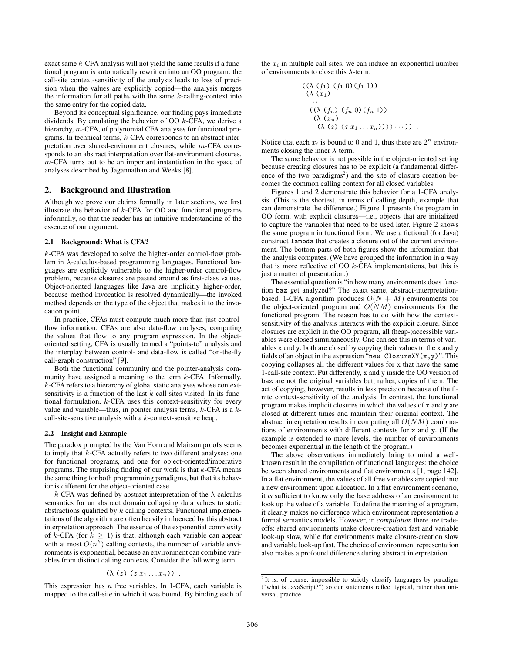exact same k-CFA analysis will not yield the same results if a functional program is automatically rewritten into an OO program: the call-site context-sensitivity of the analysis leads to loss of precision when the values are explicitly copied—the analysis merges the information for all paths with the same  $k$ -calling-context into the same entry for the copied data.

Beyond its conceptual significance, our finding pays immediate dividends: By emulating the behavior of OO k-CFA, we derive a hierarchy, *m*-CFA, of polynomial CFA analyses for functional programs. In technical terms, k-CFA corresponds to an abstract interpretation over shared-environment closures, while m-CFA corresponds to an abstract interpretation over flat-environment closures. m-CFA turns out to be an important instantiation in the space of analyses described by Jagannathan and Weeks [8].

### 2. Background and Illustration

Although we prove our claims formally in later sections, we first illustrate the behavior of  $k$ -CFA for OO and functional programs informally, so that the reader has an intuitive understanding of the essence of our argument.

# 2.1 Background: What is CFA?

k-CFA was developed to solve the higher-order control-flow problem in λ-calculus-based programming languages. Functional languages are explicitly vulnerable to the higher-order control-flow problem, because closures are passed around as first-class values. Object-oriented languages like Java are implicitly higher-order, because method invocation is resolved dynamically—the invoked method depends on the type of the object that makes it to the invocation point.

In practice, CFAs must compute much more than just controlflow information. CFAs are also data-flow analyses, computing the values that flow to any program expression. In the objectoriented setting, CFA is usually termed a "points-to" analysis and the interplay between control- and data-flow is called "on-the-fly call-graph construction" [9].

Both the functional community and the pointer-analysis community have assigned a meaning to the term  $k$ -CFA. Informally, k-CFA refers to a hierarchy of global static analyses whose contextsensitivity is a function of the last  $k$  call sites visited. In its functional formulation, k-CFA uses this context-sensitivity for every value and variable—thus, in pointer analysis terms,  $k$ -CFA is a  $k$ call-site-sensitive analysis with a k-context-sensitive heap.

### 2.2 Insight and Example

The paradox prompted by the Van Horn and Mairson proofs seems to imply that k-CFA actually refers to two different analyses: one for functional programs, and one for object-oriented/imperative programs. The surprising finding of our work is that  $k$ -CFA means the same thing for both programming paradigms, but that its behavior is different for the object-oriented case.

k-CFA was defined by abstract interpretation of the  $\lambda$ -calculus semantics for an abstract domain collapsing data values to static abstractions qualified by  $k$  calling contexts. Functional implementations of the algorithm are often heavily influenced by this abstract interpretation approach. The essence of the exponential complexity of k-CFA (for  $k \geq 1$ ) is that, although each variable can appear with at most  $O(n^k)$  calling contexts, the number of variable environments is exponential, because an environment can combine variables from distinct calling contexts. Consider the following term:

$$
(\lambda (z) (z x_1 \ldots x_n)) .
$$

This expression has  $n$  free variables. In 1-CFA, each variable is mapped to the call-site in which it was bound. By binding each of the  $x_i$  in multiple call-sites, we can induce an exponential number of environments to close this  $\lambda$ -term:

$$
(\lambda (f_1) (f_1 0) (f_1 1))
$$
  
\n
$$
(\lambda (x_1)
$$
  
\n...  
\n
$$
(\lambda (f_n) (f_n 0) (f_n 1))
$$
  
\n
$$
(\lambda (x_n)
$$
  
\n
$$
(\lambda (z) (z x_1 ... x_n)))))...))
$$

Notice that each  $x_i$  is bound to 0 and 1, thus there are  $2^n$  environments closing the inner  $\lambda$ -term.

The same behavior is not possible in the object-oriented setting because creating closures has to be explicit (a fundamental difference of the two paradigms<sup>2</sup>) and the site of closure creation becomes the common calling context for all closed variables.

Figures 1 and 2 demonstrate this behavior for a 1-CFA analysis. (This is the shortest, in terms of calling depth, example that can demonstrate the difference.) Figure 1 presents the program in OO form, with explicit closures—i.e., objects that are initialized to capture the variables that need to be used later. Figure 2 shows the same program in functional form. We use a fictional (for Java) construct lambda that creates a closure out of the current environment. The bottom parts of both figures show the information that the analysis computes. (We have grouped the information in a way that is more reflective of OO  $k$ -CFA implementations, but this is just a matter of presentation.)

The essential question is "in how many environments does function baz get analyzed?" The exact same, abstract-interpretationbased, 1-CFA algorithm produces  $O(N + M)$  environments for the object-oriented program and  $O(NM)$  environments for the functional program. The reason has to do with how the contextsensitivity of the analysis interacts with the explicit closure. Since closures are explicit in the OO program, all (heap-)accessible variables were closed simultaneously. One can see this in terms of variables x and y: both are closed by copying their values to the x and y fields of an object in the expression "new ClosureXY $(x, y)$ ". This copying collapses all the different values for x that have the same 1-call-site context. Put differently, x and y inside the OO version of baz are not the original variables but, rather, copies of them. The act of copying, however, results in less precision because of the finite context-sensitivity of the analysis. In contrast, the functional program makes implicit closures in which the values of x and y are closed at different times and maintain their original context. The abstract interpretation results in computing all  $O(NM)$  combinations of environments with different contexts for x and y. (If the example is extended to more levels, the number of environments becomes exponential in the length of the program.)

The above observations immediately bring to mind a wellknown result in the compilation of functional languages: the choice between shared environments and flat environments [1, page 142]. In a flat environment, the values of all free variables are copied into a new environment upon allocation. In a flat-environment scenario, it *is* sufficient to know only the base address of an environment to look up the value of a variable. To define the meaning of a program, it clearly makes no difference which environment representation a formal semantics models. However, in *compilation* there are tradeoffs: shared environments make closure-creation fast and variable look-up slow, while flat environments make closure-creation slow and variable look-up fast. The choice of environment representation also makes a profound difference during abstract interpretation.

<sup>&</sup>lt;sup>2</sup>It is, of course, impossible to strictly classify languages by paradigm ("what is JavaScript?") so our statements reflect typical, rather than universal, practice.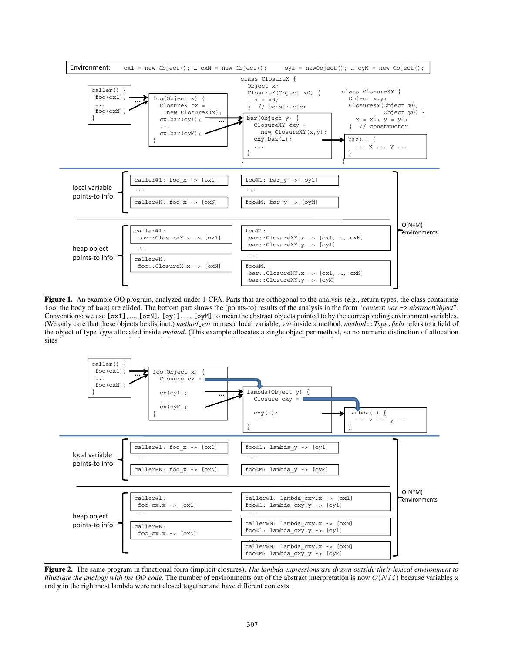

Figure 1. An example OO program, analyzed under 1-CFA. Parts that are orthogonal to the analysis (e.g., return types, the class containing foo, the body of baz) are elided. The bottom part shows the (points-to) results of the analysis in the form "*context*: *var* -> *abstractObject*". Conventions: we use  $[ox1]$ , ...,  $[oxN]$ ,  $[oy1]$ , ...,  $[oyM]$  to mean the abstract objects pointed to by the corresponding environment variables. (We only care that these objects be distinct.) *method var* names a local variable, *var* inside a method. *method*::*Type*.*field* refers to a field of the object of type *Type* allocated inside *method*. (This example allocates a single object per method, so no numeric distinction of allocation sites is necessary.) *callermethod*@*num* designates the *num*-th call-site inside method *callermethod*.



Figure 2. The same program in functional form (implicit closures). *The lambda expressions are drawn outside their lexical environment to illustrate the analogy with the OO code.* The number of environments out of the abstract interpretation is now  $O(NM)$  because variables x and y in the rightmost lambda were not closed together and have different contexts.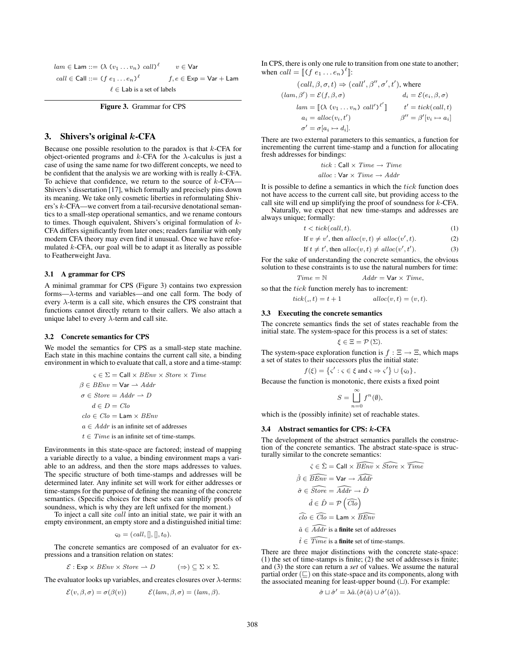$lam \in \mathsf{Lam} ::= (\lambda \; (v_1 \ldots v_n) \; \mathit{call})^\ell$  $v \in \mathsf{Var}$  $call \in Call ::= (f \ e_1 \ldots e_n)^{\ell}$  $f, e \in \textsf{Exp} = \textsf{Var} + \textsf{Lam}$  $\ell \in$  Lab is a set of labels

Figure 3. Grammar for CPS

# 3. Shivers's original  $k$ -CFA

Because one possible resolution to the paradox is that  $k$ -CFA for object-oriented programs and  $k$ -CFA for the  $\lambda$ -calculus is just a case of using the same name for two different concepts, we need to be confident that the analysis we are working with is really  $k$ -CFA. To achieve that confidence, we return to the source of  $k$ -CFA— Shivers's dissertation [17], which formally and precisely pins down its meaning. We take only cosmetic liberties in reformulating Shivers's k-CFA—we convert from a tail-recursive denotational semantics to a small-step operational semantics, and we rename contours to times. Though equivalent, Shivers's original formulation of k-CFA differs significantly from later ones; readers familiar with only modern CFA theory may even find it unusual. Once we have reformulated  $k$ -CFA, our goal will be to adapt it as literally as possible to Featherweight Java.

### 3.1 A grammar for CPS

A minimal grammar for CPS (Figure 3) contains two expression forms—λ-terms and variables—and one call form. The body of every  $\lambda$ -term is a call site, which ensures the CPS constraint that functions cannot directly return to their callers. We also attach a unique label to every  $\lambda$ -term and call site.

#### 3.2 Concrete semantics for CPS

We model the semantics for CPS as a small-step state machine. Each state in this machine contains the current call site, a binding environment in which to evaluate that call, a store and a time-stamp:

$$
\varsigma \in \Sigma = \text{Call} \times \text{BEnv} \times \text{Store} \times \text{Time}
$$
  

$$
\beta \in \text{BEnv} = \text{Var} \rightarrow \text{Addr}
$$
  

$$
\sigma \in \text{Store} = \text{Addr} \rightarrow D
$$
  

$$
d \in D = \text{Clo}
$$
  

$$
\text{clo} \in \text{Clo} = \text{Lam} \times \text{BEnv}
$$
  

$$
a \in \text{Addr} \text{ is an infinite set of addresses}
$$

 $t \in Time$  is an infinite set of time-stamps.

Environments in this state-space are factored; instead of mapping a variable directly to a value, a binding environment maps a variable to an address, and then the store maps addresses to values. The specific structure of both time-stamps and addresses will be determined later. Any infinite set will work for either addresses or time-stamps for the purpose of defining the meaning of the concrete semantics. (Specific choices for these sets can simplify proofs of soundness, which is why they are left unfixed for the moment.)

To inject a call site *call* into an initial state, we pair it with an empty environment, an empty store and a distinguished initial time:

$$
\varsigma_0 = (call,[],!,t_0).
$$

The concrete semantics are composed of an evaluator for expressions and a transition relation on states:

$$
\mathcal{E}: \mathsf{Exp} \times \mathit{BEnv} \times \mathit{Store} \to D \qquad (\Rightarrow) \subseteq \Sigma \times \Sigma.
$$

The evaluator looks up variables, and creates closures over  $\lambda$ -terms:

$$
\mathcal{E}(v,\beta,\sigma)=\sigma(\beta(v))\qquad \mathcal{E}(lam,\beta,\sigma)=(lam,\beta).
$$

In CPS, there is only one rule to transition from one state to another; when  $call = [(f e_1 ... e_n)^{\ell}].$ 

$$
(call, \beta, \sigma, t) \Rightarrow (call', \beta'', \sigma', t'), \text{ where}
$$

$$
(lam, \beta') = \mathcal{E}(f, \beta, \sigma) \qquad d_i = \mathcal{E}(e_i, \beta, \sigma)
$$

$$
lam = \llbracket (\lambda (v_1 \dots v_n) call')^{\ell'} \rrbracket \qquad t' = tick (call, t)
$$

$$
a_i = alloc(v_i, t') \qquad \beta'' = \beta'[v_i \mapsto a_i]
$$

$$
\sigma' = \sigma[a_i \mapsto d_i].
$$

There are two external parameters to this semantics, a function for incrementing the current time-stamp and a function for allocating fresh addresses for bindings:

$$
tick : Call \times Time \rightarrow Time
$$
  
alloc : Var \times Time \rightarrow Addr

It is possible to define a semantics in which the  $tick$  function does not have access to the current call site, but providing access to the call site will end up simplifying the proof of soundness for  $k$ -CFA.

Naturally, we expect that new time-stamps and addresses are always unique; formally:

$$
t < tick(call, t). \tag{1}
$$

If 
$$
v \neq v'
$$
, then  $alloc(v, t) \neqalloc(v', t)$ . (2)

$$
If t \neq t', then \, \text{alloc}(v, t) \neq \text{alloc}(v', t'). \tag{3}
$$

For the sake of understanding the concrete semantics, the obvious solution to these constraints is to use the natural numbers for time:

$$
Time = \mathbb{N} \qquad \qquad Addr = \text{Var} \times Time,
$$

so that the tick function merely has to increment:

 $tick(., t) = t + 1$   $alloc(v, t) = (v, t).$ 

#### 3.3 Executing the concrete semantics

The concrete semantics finds the set of states reachable from the initial state. The system-space for this process is a set of states:

$$
\xi \in \Xi = \mathcal{P}\left(\Sigma\right).
$$

The system-space exploration function is  $f : \Xi \to \Xi$ , which maps a set of states to their successors plus the initial state:

$$
f(\xi) = \left\{ \varsigma' : \varsigma \in \xi \text{ and } \varsigma \Rightarrow \varsigma' \right\} \cup \left\{ \varsigma_0 \right\},\
$$

Because the function is monotonic, there exists a fixed point

$$
S = \bigcup_{n=0}^{\infty} f^n(\emptyset),
$$

which is the (possibly infinite) set of reachable states.

### 3.4 Abstract semantics for CPS: k-CFA

The development of the abstract semantics parallels the construction of the concrete semantics. The abstract state-space is structurally similar to the concrete semantics:

$$
\hat{\varsigma} \in \hat{\Sigma} = \text{Call} \times \widehat{BEnv} \times \widehat{Store} \times \widehat{Time}
$$

$$
\hat{\beta} \in \widehat{BEnv} = \text{Var} \rightarrow \widehat{A} \widehat{ddr}
$$

$$
\hat{\sigma} \in \widehat{Store} = \widehat{A} \widehat{ddr} \rightarrow \hat{D}
$$

$$
\hat{d} \in \hat{D} = \mathcal{P} \left( \widehat{Clo} \right)
$$

$$
\widehat{clo} \in \widehat{Clo} = \text{Lam} \times \widehat{BEnv}
$$

$$
\hat{a} \in \widehat{Addr} \text{ is a finite set of addresses}
$$

$$
\hat{t} \in \widehat{Time} \text{ is a finite set of time-stamps.}
$$

There are three major distinctions with the concrete state-space: (1) the set of time-stamps is finite; (2) the set of addresses is finite; and (3) the store can return a *set* of values. We assume the natural partial order  $(\sqsubseteq)$  on this state-space and its components, along with the associated meaning for least-upper bound  $(L)$ . For example:

$$
\hat{\sigma} \sqcup \hat{\sigma}' = \lambda \hat{a}.(\hat{\sigma}(\hat{a}) \cup \hat{\sigma}'(\hat{a})).
$$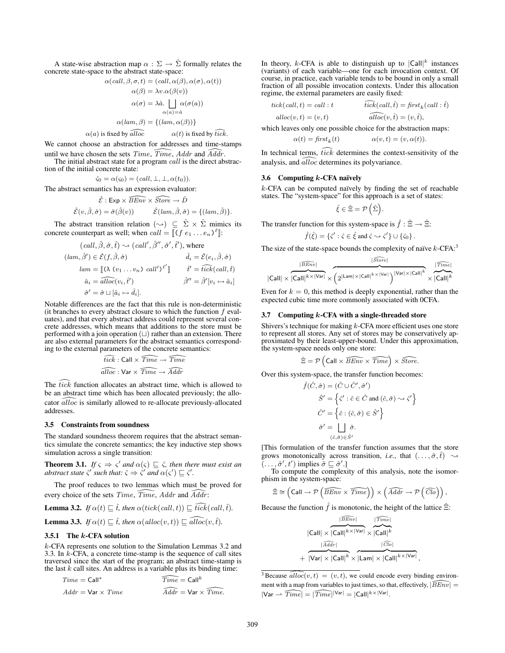A state-wise abstraction map  $\alpha : \Sigma \to \hat{\Sigma}$  formally relates the concrete state-space to the abstract state-space:

$$
\alpha(\text{call}, \beta, \sigma, t) = (\text{call}, \alpha(\beta), \alpha(\sigma), \alpha(t))
$$

$$
\alpha(\beta) = \lambda v. \alpha(\beta(v))
$$

$$
\alpha(\sigma) = \lambda \hat{a}. \bigcup_{\alpha(a) = \hat{a}} \alpha(\sigma(a))
$$

$$
\alpha(\text{lam}, \beta) = \{(\text{lam}, \alpha(\beta))\}
$$

$$
\alpha(a)
$$
 is fixed by  $\widehat{alloc}$   $\alpha(t)$  is fixed by  $\widehat{tick}$ .

We cannot choose an abstraction for addresses and time-stamps until we have chosen the sets  $Time, Time, Addr$  and  $Addr$ .

The initial abstract state for a program *call* is the direct abstraction of the initial concrete state:

$$
\hat{\varsigma}_0 = \alpha(\varsigma_0) = (call, \perp, \perp, \alpha(t_0)).
$$

The abstract semantics has an expression evaluator:

$$
\hat{\mathcal{E}} : \text{Exp} \times \widehat{BEnv} \times \widehat{Store} \to \hat{D}
$$

$$
\hat{\mathcal{E}}(v, \hat{\beta}, \hat{\sigma}) = \hat{\sigma}(\hat{\beta}(v)) \qquad \hat{\mathcal{E}}(lam, \hat{\beta}, \hat{\sigma}) = \{ (lam, \hat{\beta}) \}.
$$

The abstract transition relation  $(\leadsto) \subseteq \hat{\Sigma} \times \hat{\Sigma}$  mimics its concrete counterpart as well; when  $call = [[(f e_1 ... e_n)^{\ell}]]$ :

$$
(call, \hat{\beta}, \hat{\sigma}, \hat{t}) \sim (call', \hat{\beta}'', \hat{\sigma}', \hat{t}'), where
$$
  
\n
$$
(lam, \hat{\beta}') \in \hat{\mathcal{E}}(f, \hat{\beta}, \hat{\sigma}) \qquad \hat{d}_i = \hat{\mathcal{E}}(e_i, \hat{\beta}, \hat{\sigma})
$$
  
\n
$$
lam = [\![ (\lambda \ (v_1 \dots v_n) \ call' )^{\ell'} ]\!] \qquad \hat{t}' = \hat{t}\hat{t}\hat{c}\hat{k}(\text{call}, \hat{t})
$$
  
\n
$$
\hat{a}_i = \hat{alloc}(v_i, \hat{t}') \qquad \hat{\beta}'' = \hat{\beta}'[v_i \mapsto \hat{a}_i]
$$
  
\n
$$
\hat{\sigma}' = \hat{\sigma} \sqcup [\hat{a}_i \mapsto \hat{d}_i].
$$

Notable differences are the fact that this rule is non-deterministic (it branches to every abstract closure to which the function  $f$  evaluates), and that every abstract address could represent several concrete addresses, which means that additions to the store must be performed with a join operation  $(\sqcup)$  rather than an extension. There are also external parameters for the abstract semantics corresponding to the external parameters of the concrete semantics:

$$
\widehat{tick}: \mathsf{Call} \times \widehat{Time} \rightarrow \widehat{Time} \\ \widehat{alloc}: \mathsf{Var} \times \widehat{Time} \rightarrow \widehat{Addr}
$$

The  $tick$  function allocates an abstract time, which is allowed to be an abstract time which has been allocated previously; the allocator  $\widehat{alloc}$  is similarly allowed to re-allocate previously-allocated addresses.

#### 3.5 Constraints from soundness

The standard soundness theorem requires that the abstract semantics simulate the concrete semantics; the key inductive step shows simulation across a single transition:

**Theorem 3.1.** *If*  $\varsigma \Rightarrow \varsigma'$  and  $\alpha(\varsigma) \sqsubseteq \hat{\varsigma}$ , then there must exist an *abstract state*  $\hat{\varsigma}'$  *such that:*  $\hat{\varsigma} \Rightarrow \hat{\varsigma}'$  *and*  $\alpha(\varsigma') \sqsubseteq \hat{\varsigma}'$ .

The proof reduces to two lemmas which must be proved for every choice of the sets  $Time, Time, Addr$  and  $Addr$ :

**Lemma 3.2.** If 
$$
\alpha(t) \sqsubseteq \hat{t}
$$
, then  $\alpha(tick(call, t)) \sqsubseteq \widehat{tick}(call, \hat{t})$ .

**Lemma 3.3.** If 
$$
\alpha(t) \sqsubseteq \hat{t}
$$
, then  $\alpha(alloc(v,t)) \sqsubseteq \widehat{alloc(v,\hat{t})}$ .

### 3.5.1 The k-CFA solution

k-CFA represents one solution to the Simulation Lemmas 3.2 and 3.3. In k-CFA, a concrete time-stamp is the sequence of call sites traversed since the start of the program; an abstract time-stamp is the last  $k$  call sites. An address is a variable plus its binding time:

$$
Time = Call^* \qquad \qquad \widehat{Time} = Call^k
$$
  
 
$$
Addr = \text{Var} \times Time \qquad \qquad \widehat{Addr} = \text{Var} \times \widehat{Time}.
$$

In theory, k-CFA is able to distinguish up to  $|Call|^k$  instances (variants) of each variable—one for each invocation context. Of course, in practice, each variable tends to be bound in only a small fraction of all possible invocation contexts. Under this allocation regime, the external parameters are easily fixed:

$$
tick(call, t) = call : t \qquad \qquad \widehat{tick}(call, \hat{t}) = first_k(call : \hat{t})
$$

$$
alloc(v, t) = (v, t) \qquad \qquad \widehat{alloc}(v, \hat{t}) = (v, \hat{t}),
$$

which leaves only one possible choice for the abstraction maps:

$$
\alpha(t) = \operatorname{first}_k(t) \qquad \qquad \alpha(v, t) = (v, \alpha(t)).
$$

In technical terms,  $tick$  determines the context-sensitivity of the analysis, and  $\widehat{alloc}$  determines its polyvariance.

### 3.6 Computing  $k$ -CFA naïvely

 $k$ -CFA can be computed naïvely by finding the set of reachable states. The "system-space" for this approach is a set of states:

$$
\hat{\xi} \in \hat{\Xi} = \mathcal{P}\left(\hat{\Sigma}\right)
$$

.

The transfer function for this system-space is  $\hat{f}$  :  $\hat{\Xi} \rightarrow \hat{\Xi}$ :

$$
\hat{f}(\hat{\xi}) = \{\hat{\varsigma}' : \hat{\varsigma} \in \hat{\xi} \text{ and } \hat{\varsigma} \leadsto \hat{\varsigma}'\} \cup \{\hat{\varsigma}_0\}.
$$

The size of the state-space bounds the complexity of naïve  $k$ -CFA:<sup>3</sup>

$$
|\widehat{\text{Call}}|\times\frac{|\widehat{\text{BEnv}}|}{|\text{Call}|^k\times|\text{Var}|}\times\left(2^{|\text{Lam}|\times|\text{Call}|^k\times|\text{Var}|}\right)^{|\text{Var}|\times|\text{Call}|^k}\times\frac{|\widehat{\text{Time}}|}{|\text{Call}|^k}
$$

Even for  $k = 0$ , this method is deeply exponential, rather than the expected cubic time more commonly associated with 0CFA.

#### 3.7 Computing  $k$ -CFA with a single-threaded store

Shivers's technique for making k-CFA more efficient uses one store to represent all stores. Any set of stores may be conservatively approximated by their least-upper-bound. Under this approximation, the system-space needs only one store:

$$
\hat{\Xi} = \mathcal{P}\left(\text{Call} \times \widehat{\text{BEnv}} \times \widehat{\text{Time}}\right) \times \widehat{\text{Store}}.
$$

Over this system-space, the transfer function becomes:

$$
\hat{f}(\hat{C}, \hat{\sigma}) = (\hat{C} \cup \hat{C}', \hat{\sigma}')
$$

$$
\hat{S}' = \left\{ \hat{\varsigma}' : \hat{c} \in \hat{C} \text{ and } (\hat{c}, \hat{\sigma}) \leadsto \hat{\varsigma}' \right\}
$$

$$
\hat{C}' = \left\{ \hat{c} : (\hat{c}, \hat{\sigma}) \in \hat{S}' \right\}
$$

$$
\hat{\sigma}' = \bigsqcup_{(\hat{c}, \hat{\sigma}) \in \hat{S}'}
$$

[This formulation of the transfer function assumes that the store grows monotonically across transition, *i.e.*, that  $(\ldots, \hat{\sigma}, \hat{t}) \sim$  $(\ldots, \hat{\sigma}', t')$  implies  $\hat{\sigma} \sqsubseteq \hat{\sigma}'$ .

To compute the complexity of this analysis, note the isomorphism in the system-space:

$$
\hat{\Xi} \cong \left(\text{Call} \to \mathcal{P}\left(\widehat{BEnv} \times \widehat{Time}\right)\right) \times \left(\widehat{Addr} \to \mathcal{P}\left(\widehat{Clo}\right)\right),
$$

Because the function  $\hat{f}$  is monotonic, the height of the lattice  $\hat{\Xi}$ :

$$
\frac{|\widehat{\it BEnv}|}{|\widehat{\it Calll}| \times |\mathsf{Call}|^k \times |\mathsf{Var}|} \times \frac{|\widehat{\it True}|}{|\widehat{\it Calll}|^k} + \frac{|\widehat{\it Aadr}|}{|\mathsf{Var}| \times |\mathsf{Call}|^k \times |\mathsf{Lam}| \times |\mathsf{Call}|^k \times |\mathsf{Var}|}
$$

,

<sup>3</sup> Because  $\widehat{alloc}(v, t) = (v, t)$ , we could encode every binding environment with a map from variables to just times, so that, effectively,  $|\widehat{BEnv}|$  =  $|\text{Var} \rightharpoonup \widehat{Time}| = |\widehat{Time}|^{|\text{Var}|} = |\text{Call}|^{k \times |\text{Var}|}.$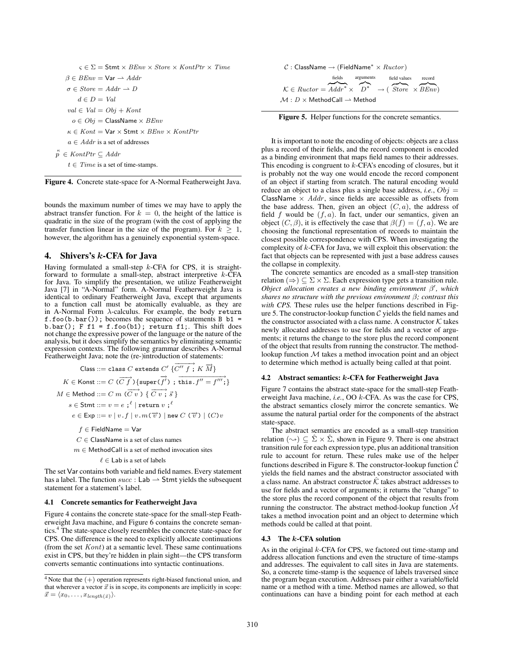```
\varsigma \in \Sigma = Stmt \times BEnv \times Store \times KontPtr \times Time
    \beta \in BEnv = \text{Var} \rightarrow Addr\sigma \in Store = Addr \rightarrow Dd \in D = Valval \in Val = Obj + Konto ∈ Obj = ClassName × BEnv\kappa \in Kont = \text{Var} \times \text{Stmt} \times \text{BEnv} \times \text{KontPtr}a \in Addr is a set of addresses
\stackrel{\kappa}{p} \in KontPtr \subseteq Addr
     t \in Time is a set of time-stamps.
```
Figure 4. Concrete state-space for A-Normal Featherweight Java.

bounds the maximum number of times we may have to apply the abstract transfer function. For  $k = 0$ , the height of the lattice is quadratic in the size of the program (with the cost of applying the transfer function linear in the size of the program). For  $k \geq 1$ , however, the algorithm has a genuinely exponential system-space.

### 4. Shivers's  $k$ -CFA for Java

Having formulated a small-step  $k$ -CFA for CPS, it is straightforward to formulate a small-step, abstract interpretive  $k$ -CFA for Java. To simplify the presentation, we utilize Featherweight Java [7] in "A-Normal" form. A-Normal Featherweight Java is identical to ordinary Featherweight Java, except that arguments to a function call must be atomically evaluable, as they are in A-Normal Form  $\lambda$ -calculus. For example, the body return  $f.foo(b.bar())$ ; becomes the sequence of statements B  $b1 =$ b.bar(); F f1 = f.foo(b1); return f1;. This shift does not change the expressive power of the language or the nature of the analysis, but it does simplify the semantics by eliminating semantic expression contexts. The following grammar describes A-Normal Featherweight Java; note the (re-)introduction of statements:

\n
$$
\text{Class} ::= \text{class } C \text{ extends } C' \{ \overrightarrow{C'' f} ; K \overrightarrow{M} \}
$$
\n

\n\n
$$
K \in \text{Konst} ::= C \, (\overrightarrow{C f}) \{ \text{super}(\overrightarrow{f'}) : \text{this } f'' = f'''; \}
$$
\n

\n\n
$$
M \in \text{Method} ::= C \, m \, (\overrightarrow{C v}) \, \{ \overrightarrow{C v} ; \overrightarrow{s} \}
$$
\n

\n\n
$$
s \in \text{Stm} ::= v = e ; \{ \mid \text{return } v ; \{ \}
$$
\n

\n\n
$$
e \in \text{Exp} ::= v \mid v . f \mid v . m(\overrightarrow{v}) \mid \text{new } C \, (\overrightarrow{v}) \mid (C) v
$$
\n

\n\n
$$
f \in \text{FieldName} = \text{Var}
$$
\n

 $C \in$  ClassName is a set of class names

 $m \in$  MethodCall is a set of method invocation sites

```
\ell \in Lab is a set of labels
```
The set Var contains both variable and field names. Every statement has a label. The function  $succ$ : Lab  $\rightarrow$  Stmt yields the subsequent statement for a statement's label.

### 4.1 Concrete semantics for Featherweight Java

Figure 4 contains the concrete state-space for the small-step Featherweight Java machine, and Figure 6 contains the concrete semantics.<sup>4</sup> The state-space closely resembles the concrete state-space for CPS. One difference is the need to explicitly allocate continuations (from the set  $Kont$ ) at a semantic level. These same continuations exist in CPS, but they're hidden in plain sight—the CPS transform converts semantic continuations into syntactic continuations.



|                                                                              | <i>fields</i> | arguments | field values | record |
|------------------------------------------------------------------------------|---------------|-----------|--------------|--------|
|                                                                              |               |           |              |        |
| $\mathcal{K} \in Ructor = Addr^* \times D^* \rightarrow (Store \times BEnv)$ |               |           |              |        |
| $\mathcal{M}:D\times\mathsf{MethodCall}\to\mathsf{Method}$                   |               |           |              |        |



It is important to note the encoding of objects: objects are a class plus a record of their fields, and the record component is encoded as a binding environment that maps field names to their addresses. This encoding is congruent to  $k$ -CFA's encoding of closures, but it is probably not the way one would encode the record component of an object if starting from scratch. The natural encoding would reduce an object to a class plus a single base address, *i.e.*,  $Obj =$ ClassName  $\times$  Addr, since fields are accessible as offsets from the base address. Then, given an object  $(C, a)$ , the address of field  $f$  would be  $(f, a)$ . In fact, under our semantics, given an object  $(C, \beta)$ , it is effectively the case that  $\beta(f) = (f, a)$ . We are choosing the functional representation of records to maintain the closest possible correspondence with CPS. When investigating the complexity of  $k$ -CFA for Java, we will exploit this observation: the fact that objects can be represented with just a base address causes the collapse in complexity.

The concrete semantics are encoded as a small-step transition relation ( $\Rightarrow$ )  $\subseteq \Sigma \times \Sigma$ . Each expression type gets a transition rule. *Object allocation creates a new binding environment* β 0 *, which shares no structure with the previous environment* β*; contrast this with CPS.* These rules use the helper functions described in Figure 5. The constructor-lookup function  $C$  yields the field names and the constructor associated with a class name. A constructor  $K$  takes newly allocated addresses to use for fields and a vector of arguments; it returns the change to the store plus the record component of the object that results from running the constructor. The methodlookup function M takes a method invocation point and an object to determine which method is actually being called at that point.

#### 4.2 Abstract semantics: k-CFA for Featherweight Java

Figure 7 contains the abstract state-space for the small-step Featherweight Java machine, *i.e.*, OO k-CFA. As was the case for CPS, the abstract semantics closely mirror the concrete semantics. We assume the natural partial order for the components of the abstract state-space.

The abstract semantics are encoded as a small-step transition relation  $(\leadsto) \subseteq \hat{\Sigma} \times \hat{\Sigma}$ , shown in Figure 9. There is one abstract transition rule for each expression type, plus an additional transition rule to account for return. These rules make use of the helper functions described in Figure 8. The constructor-lookup function  $\mathcal C$ yields the field names and the abstract constructor associated with a class name. An abstract constructor  $\hat{\mathcal{K}}$  takes abstract addresses to use for fields and a vector of arguments; it returns the "change" to the store plus the record component of the object that results from running the constructor. The abstract method-lookup function  $\hat{\mathcal{M}}$ takes a method invocation point and an object to determine which methods could be called at that point.

### 4.3 The k-CFA solution

As in the original k-CFA for CPS, we factored out time-stamp and address allocation functions and even the structure of time-stamps and addresses. The equivalent to call sites in Java are statements. So, a concrete time-stamp is the sequence of labels traversed since the program began execution. Addresses pair either a variable/field name or a method with a time. Method names are allowed, so that continuations can have a binding point for each method at each

 $4$  Note that the  $(+)$  operation represents right-biased functional union, and that wherever a vector  $\vec{x}$  is in scope, its components are implicitly in scope:  $\vec{x} = \langle x_0, \ldots, x_{length(\tilde{x})} \rangle.$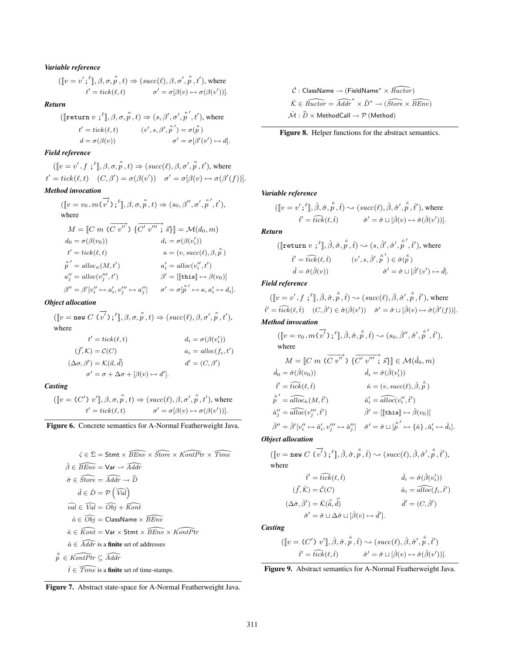# *Variable reference*

 $([\![v = v'; \cdot^\ell], \beta, \sigma, \overset{\kappa}{p}, t) \Rightarrow (succ(\ell), \beta, \sigma', \overset{\kappa}{p}, t'),$  where  $t' = tick(\ell, t)$   $\sigma' = \sigma[\beta(v) \mapsto \sigma(\beta(v'))].$ 

# *Return*

$$
([\textbf{return } v \; ; ^{\ell} ], \beta, \sigma, \overset{\kappa}{p}, t) \Rightarrow (s, \beta', \sigma', \overset{\kappa}{p}', t'), \text{ where}
$$
\n
$$
t' = tick(\ell, t) \qquad (v', s, \beta', \overset{\kappa}{p}') = \sigma(\overset{\kappa}{p})
$$
\n
$$
d = \sigma(\beta(v)) \qquad \sigma' = \sigma[\beta'(v') \mapsto d].
$$

# *Field reference*

 $([\![v = v' \cdot f; \cdot^{\ell}], \beta, \sigma, \stackrel{\kappa}{p}, t) \Rightarrow (succ(\ell), \beta, \sigma', \stackrel{\kappa}{p}, t'),$  where  $t' = tick(\ell, t) \quad (C, \beta') = \sigma(\beta(v')) \quad \sigma' = \sigma[\beta(v) \mapsto \sigma(\beta'(f))].$ 

# *Method invocation*

$$
([\![v = v_0 \cdot m(\overrightarrow{v'})\,;\,^{\ell}]\!], \beta, \sigma, \overset{\kappa}{p}, t) \Rightarrow (s_0, \beta'', \sigma', \overset{\kappa}{p}', t'),
$$
  
\nwhere  
\n
$$
M = [\![C \; m \; (\overrightarrow{C \; v''})\, \{ \overrightarrow{C'} \; v''' \; ; \; \overrightarrow{s} \}]\!] = \mathcal{M}(d_0, m)
$$
  
\n
$$
d_0 = \sigma(\beta(v_0))
$$
  
\n
$$
t' = tick(\ell, t)
$$
  
\n
$$
\kappa = (v, succ(\ell), \beta, \overset{\kappa}{p})
$$
  
\n
$$
\overset{\kappa}{p'} = alloc_{\kappa}(M, t')
$$
  
\n
$$
a''_j = alloc(v''_j, t')
$$
  
\n
$$
\beta'' = \beta'[v''_i \mapsto a'_i, v'''_j \mapsto a''_j] \qquad \sigma' = \sigma[\overset{\kappa}{p'} \mapsto \kappa, a'_i \mapsto d_i].
$$

# *Object allocation*

$$
([\![v = \text{new } C \ (v\stackrel{\rightarrow}{v'});\,^{\ell}], \beta, \sigma, \stackrel{\kappa}{p}, t) \Rightarrow (succ(\ell), \beta, \sigma', \stackrel{\kappa}{p}, t'),
$$
  
where  

$$
t' = tick(\ell, t) \qquad d_i = \sigma(\beta(v_i'))
$$

$$
(\vec{f}, \mathcal{K}) = \mathcal{C}(C) \qquad a_i =alloc(f_i, t')
$$

$$
(\Delta \sigma, \beta') = \mathcal{K}(\vec{a}, \vec{d}) \qquad d' = (C, \beta')
$$

$$
\sigma' = \sigma + \Delta \sigma + [\beta(v) \mapsto d'].
$$

# *Casting*

 $([\![v = (C')\; v']\!], \beta, \sigma, \stackrel{\kappa}{p}, t) \Rightarrow (succ(\ell), \beta, \sigma', \stackrel{\kappa}{p}, t'),$  where  $t' = tick(\ell, t)$  σ  $\sigma' = \sigma[\beta(v) \mapsto \sigma(\beta(v'))].$ 

Figure 6. Concrete semantics for A-Normal Featherweight Java.

$$
\hat{\varsigma} \in \hat{\Sigma} = \text{Strm} \times \widehat{BEnv} \times \widehat{Store} \times \widehat{KontPtr} \times \widehat{Time}
$$
  

$$
\hat{\beta} \in \widehat{BEnv} = \text{Var} \rightarrow \widehat{Addr}
$$
  

$$
\hat{\sigma} \in \widehat{Store} = \widehat{Addr} \rightarrow \widehat{D}
$$
  

$$
\hat{d} \in \hat{D} = \mathcal{P} (\widehat{Val})
$$
  

$$
\widehat{val} \in \widehat{Val} = \widehat{Obj} + \widehat{Kont}
$$
  

$$
\hat{o} \in \widehat{Obj} = \text{ClassName} \times \widehat{BEnv}
$$
  

$$
\hat{\kappa} \in \widehat{Kont} = \text{Var} \times \text{Strm} \times \widehat{BEnv} \times \widehat{KontPtr}
$$
  

$$
\hat{a} \in \widehat{Addr} \text{ is a finite set of addresses}
$$
  

$$
\hat{r} \in \widehat{KontPtr} \subseteq \widehat{Addr}
$$
  

$$
\hat{t} \in \widehat{Time} \text{ is a finite set of time-stamps.}
$$



 $\hat{\mathcal{C}}$  : ClassName  $\rightarrow$  (FieldName<sup>\*</sup>  $\times$   $\widehat{Ructor}$ )  $\hat{\mathcal{K}} \in \widehat{Ructor} = \widehat{Adar}^* \times \hat{D}^* \to (\widehat{Store} \times \widehat{BEnv})$  $\mathcal{\hat{M}} : \widehat{D} \times \mathsf{MethodCall} \rightarrow \mathcal{P}$  (Method)



### *Variable reference*

$$
([\![v = v'; \{{}^{\ell}\!], \hat{\beta}, \hat{\sigma}, \stackrel{\hat{\kappa}}{p}, \hat{t}) \sim (succ(\ell), \hat{\beta}, \hat{\sigma}', \stackrel{\hat{\kappa}}{p}, \hat{t}'), \text{where}
$$
  

$$
\hat{t}' = \hat{t}\hat{i}\hat{c}\hat{k}(\ell, \hat{t}) \qquad \hat{\sigma}' = \hat{\sigma} \sqcup [\hat{\beta}(v) \mapsto \hat{\sigma}(\hat{\beta}(v'))].
$$

*Return*

$$
\begin{aligned}\n &\left(\left[\texttt{return } v \right] \, ; \,^{\ell}\right], \hat{\beta}, \hat{\sigma}, \,^{\hat{\kappa}}_{p}, \hat{t}\right) \sim \langle s, \, \hat{\beta}', \, \hat{\sigma}', \,^{\kappa'}_{p}, \, \hat{t}'\right), \text{ where} \\
 &\quad t' = \widehat{tick}(\ell, \hat{t}) \qquad (v', s, \hat{\beta}', \, \hat{\bar{p}}') \in \hat{\sigma}(\hat{\bar{p}}) \\
 &\quad \hat{d} = \hat{\sigma}(\hat{\beta}(v)) \qquad \qquad \hat{\sigma}' = \hat{\sigma} \sqcup [\hat{\beta}'(v') \mapsto \hat{d}].\n \end{aligned}
$$

# *Field reference*

 $([\![v = v' \cdot f; \cdot^{\ell}]\!], \hat{\beta}, \hat{\sigma}, \stackrel{\hat{\kappa}}{p}, \hat{t}) \sim (succ(\ell), \hat{\beta}, \hat{\sigma}', \stackrel{\hat{\kappa}}{p}, \hat{t}'),$  where  $\hat{t}' = \hat{tick}(\ell, \hat{t}) \quad (C, \hat{\beta}') \in \hat{\sigma}(\hat{\beta}(v')) \quad \hat{\sigma}' = \hat{\sigma} \sqcup [\hat{\beta}(v) \mapsto \hat{\sigma}(\hat{\beta}'(f))].$ 

# *Method invocation*

$$
(\llbracket v = v_0.m(\overrightarrow{v'}) ; \llbracket , \hat{\beta}, \hat{\sigma}, \overset{\hat{\kappa}}{p}, \hat{t}) \sim (s_0, \hat{\beta}'', \hat{\sigma}', \overset{\hat{\kappa}'}{p}, \overset{\hat{t}'}{t}),
$$
\nwhere\n
$$
M = \llbracket C m (\overrightarrow{C v''}) \ \{\overrightarrow{C'} v''' ; \ \overrightarrow{s} \} \rrbracket \in \mathcal{M}(\hat{d}_0, m)
$$
\n
$$
\hat{d}_0 = \hat{\sigma}(\hat{\beta}(v_0)) \qquad \hat{d}_i = \hat{\sigma}(\hat{\beta}(v'_i))
$$
\n
$$
\hat{t}' = \widehat{tick}(\ell, \hat{t}) \qquad \hat{\kappa} = (v, succ(\ell), \hat{\beta}, \overset{\hat{\kappa}}{p})
$$
\n
$$
\overset{\hat{\kappa}'}{p'} = \widehat{alloc}_{\hat{\kappa}}(M, \hat{t}') \qquad \hat{a}'_i = \widehat{alloc}(v''_i, \hat{t}')
$$
\n
$$
\hat{a}''_j = \widehat{alloc}(v''_j, \hat{t}') \qquad \hat{\beta}' = \llbracket [\text{this}] \mapsto \hat{\beta}(v_0)]
$$
\n
$$
\hat{\beta}'' = \hat{\beta}'[v''_i \mapsto \hat{a}'_i, v'''_j \mapsto \hat{a}''_j] \qquad \hat{\sigma}' = \hat{\sigma} \sqcup [\overset{\hat{\kappa}'}{p} \mapsto {\hat{\kappa}} \}, \hat{a}'_i \mapsto \hat{d}_i].
$$

*Object allocation*

$$
\begin{aligned} (\llbracket v = \texttt{new}\ C\ (\overset{\rightharpoonup}{v'})\,; {}^{\ell} \rrbracket, \hat{\beta}, \hat{\sigma}, \overset{\kappa}{p}, \hat{t}) \sim (\mathit{succ}(\ell), \hat{\beta}, \hat{\sigma}', \overset{\kappa}{p}, \hat{t}'),\\ \text{where} \qquad \qquad \qquad \hat{t}' = \widehat{\mathit{tick}}(\ell, \hat{t}) \qquad \qquad \hat{d}_i = \hat{\sigma}(\hat{\beta}(v'_i)) \end{aligned}
$$

$$
(\vec{f}, \hat{K}) = \hat{\mathcal{C}}(C) \qquad \hat{a}_i = \widehat{alloc}(f_i, \hat{t}')
$$
  

$$
(\Delta \hat{\sigma}, \hat{\beta}') = \hat{K}(\vec{\hat{a}}, \vec{\hat{d}}) \qquad \hat{d}' = (C, \hat{\beta}')
$$
  

$$
\hat{\sigma}' = \hat{\sigma} \sqcup \Delta \hat{\sigma} \sqcup [\hat{\beta}(v) \mapsto \hat{d}'].
$$

*Casting*

$$
([\![v = (C') \ v']\!] , \hat{\beta}, \hat{\sigma}, \stackrel{\hat{\kappa}}{\hat{p}}, \hat{t}) \sim (succ(\ell), \hat{\beta}, \hat{\sigma}', \stackrel{\hat{\kappa}}{\hat{p}}, \hat{t}')
$$

$$
\hat{t}' = \widehat{tick}(\ell, \hat{t}) \qquad \hat{\sigma}' = \hat{\sigma} \sqcup [\hat{\beta}(v) \mapsto \hat{\sigma}(\hat{\beta}(v'))].
$$

Figure 9. Abstract semantics for A-Normal Featherweight Java.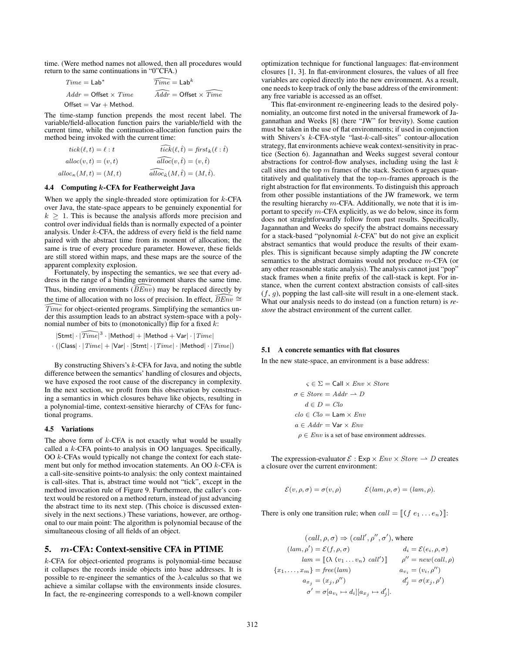time. (Were method names not allowed, then all procedures would return to the same continuations in "0"CFA.)

| $Time = Lab^*$                | $\widehat{Time} = \mathsf{Lab}^k$ |
|-------------------------------|-----------------------------------|
| $Addr =$ Offset $\times$ Time | $Addr =$ Offset $\times$ Time     |
| $Offset = Var + Method.$      |                                   |

The time-stamp function prepends the most recent label. The variable/field-allocation function pairs the variable/field with the current time, while the continuation-allocation function pairs the method being invoked with the current time:

$$
tick(\ell, t) = \ell : t \qquad \qquad \overbrace{tick}(\ell, \hat{t}) = \overbrace{first}_k(\ell : \hat{t})
$$
  
 
$$
alloc(v, t) = (v, t) \qquad \qquad \overbrace{alloc}(v, \hat{t}) = (v, \hat{t})
$$
  
 
$$
alloc_k(M, t) = (M, t) \qquad \qquad \overbrace{alloc}_k(M, \hat{t}) = (M, \hat{t}).
$$

### 4.4 Computing k-CFA for Featherweight Java

When we apply the single-threaded store optimization for  $k$ -CFA over Java, the state-space appears to be genuinely exponential for  $k > 1$ . This is because the analysis affords more precision and control over individual fields than is normally expected of a pointer analysis. Under k-CFA, the address of every field is the field name paired with the abstract time from its moment of allocation; the same is true of every procedure parameter. However, these fields are still stored within maps, and these maps are the source of the apparent complexity explosion.

Fortunately, by inspecting the semantics, we see that every address in the range of a binding environment shares the same time. Thus, binding environments  $(BEn\tilde{v})$  may be replaced directly by the time of allocation with no loss of precision. In effect,  $\overline{BEnv} \cong$ Time for object-oriented programs. Simplifying the semantics under this assumption leads to an abstract system-space with a polynomial number of bits to (monotonically) flip for a fixed  $k$ :

$$
|\mathsf{Stmt}|\cdot|\widehat{Time}|^3\cdot|\mathsf{Method}|+|\mathsf{Method}+\mathsf{Var}|\cdot|\mathit{Time}|\\ \cdot(|\mathsf{Class}|\cdot|\mathit{Time}|+|\mathsf{Var}|\cdot|\mathsf{Stmt}|\cdot|\mathit{Time}|\cdot|\mathsf{Method}|\cdot|\mathit{Time}|)
$$

By constructing Shivers's  $k$ -CFA for Java, and noting the subtle difference between the semantics' handling of closures and objects, we have exposed the root cause of the discrepancy in complexity. In the next section, we profit from this observation by constructing a semantics in which closures behave like objects, resulting in a polynomial-time, context-sensitive hierarchy of CFAs for functional programs.

#### 4.5 Variations

The above form of  $k$ -CFA is not exactly what would be usually called a k-CFA points-to analysis in OO languages. Specifically, OO k-CFAs would typically not change the context for each statement but only for method invocation statements. An OO  $k$ -CFA is a call-site-sensitive points-to analysis: the only context maintained is call-sites. That is, abstract time would not "tick", except in the method invocation rule of Figure 9. Furthermore, the caller's context would be restored on a method return, instead of just advancing the abstract time to its next step. (This choice is discussed extensively in the next sections.) These variations, however, are orthogonal to our main point: The algorithm is polynomial because of the simultaneous closing of all fields of an object.

### 5. m-CFA: Context-sensitive CFA in PTIME

k-CFA for object-oriented programs is polynomial-time because it collapses the records inside objects into base addresses. It is possible to re-engineer the semantics of the  $\lambda$ -calculus so that we achieve a similar collapse with the environments inside closures. In fact, the re-engineering corresponds to a well-known compiler optimization technique for functional languages: flat-environment closures [1, 3]. In flat-environment closures, the values of all free variables are copied directly into the new environment. As a result, one needs to keep track of only the base address of the environment: any free variable is accessed as an offset.

This flat-environment re-engineering leads to the desired polynomiality, an outcome first noted in the universal framework of Jagannathan and Weeks [8] (here "JW" for brevity). Some caution must be taken in the use of flat environments; if used in conjunction with Shivers's k-CFA-style "last-k-call-sites" contour-allocation strategy, flat environments achieve weak context-sensitivity in practice (Section 6). Jagannathan and Weeks suggest several contour abstractions for control-flow analyses, including using the last  $k$ call sites and the top  $m$  frames of the stack. Section 6 argues quantitatively and qualitatively that the top- $m$ -frames approach is the right abstraction for flat environments. To distinguish this approach from other possible instantiations of the JW framework, we term the resulting hierarchy  $m$ -CFA. Additionally, we note that it is important to specify m-CFA explicitly, as we do below, since its form does not straightforwardly follow from past results. Specifically, Jagannathan and Weeks do specify the abstract domains necessary for a stack-based "polynomial  $k$ -CFA" but do not give an explicit abstract semantics that would produce the results of their examples. This is significant because simply adapting the JW concrete semantics to the abstract domains would not produce m-CFA (or any other reasonable static analysis). The analysis cannot just "pop" stack frames when a finite prefix of the call-stack is kept. For instance, when the current context abstraction consists of call-sites  $(f, g)$ , popping the last call-site will result in a one-element stack. What our analysis needs to do instead (on a function return) is *restore* the abstract environment of the current caller.

### 5.1 A concrete semantics with flat closures

In the new state-space, an environment is a base address:

$$
\varsigma \in \Sigma = \text{Call} \times Env \times Store
$$
  
\n
$$
\sigma \in Store = Addr \rightarrow D
$$
  
\n
$$
d \in D = Clo
$$
  
\n
$$
clo \in Clo = \text{Lam} \times Env
$$
  
\n
$$
a \in Addr = \text{Var} \times Env
$$
  
\n
$$
\rho \in Env \text{ is a set of base environment addresses.}
$$

The expression-evaluator  $\mathcal{E}: \mathsf{Exp} \times Env \times Store \rightarrow D$  creates a closure over the current environment:

$$
\mathcal{E}(v,\rho,\sigma) = \sigma(v,\rho) \qquad \mathcal{E}(lam,\rho,\sigma) = (lam,\rho).
$$

There is only one transition rule; when  $call = [(f e_1 ... e_n)]$ :

$$
(call, \rho, \sigma) \Rightarrow (call', \rho'', \sigma'), \text{ where}
$$

$$
(lam, \rho') = \mathcal{E}(f, \rho, \sigma) \qquad d_i = \mathcal{E}(e_i, \rho, \sigma)
$$

$$
lam = [(\lambda (v_1 ... v_n) call')] \qquad \rho'' = new(call, \rho)
$$

$$
\{x_1, ..., x_m\} = free(lam) \qquad a_{v_i} = (v_i, \rho'')
$$

$$
a_{x_j} = (x_j, \rho'') \qquad d'_j = \sigma(x_j, \rho')
$$

$$
\sigma' = \sigma[a_{v_i} \mapsto d_i][a_{x_j} \mapsto d'_j].
$$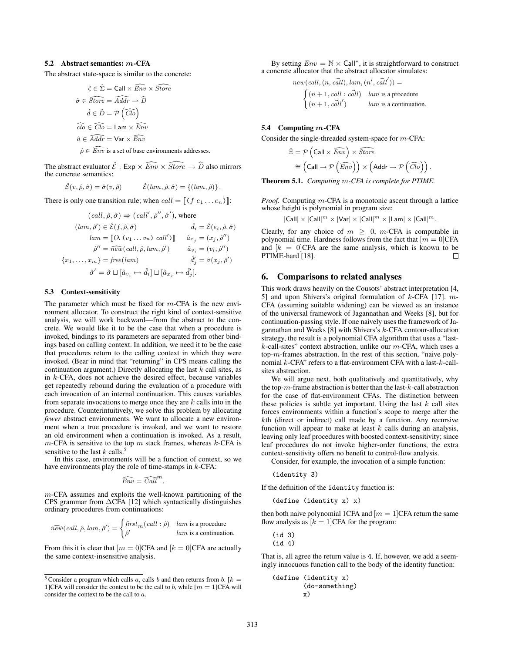# 5.2 Abstract semantics: m-CFA

The abstract state-space is similar to the concrete:

$$
\hat{\zeta} \in \hat{\Sigma} = \text{Call} \times \widehat{Env} \times \widehat{Store}
$$

$$
\hat{\sigma} \in \widehat{Store} = \widehat{Addr} \rightarrow \widehat{D}
$$

$$
\hat{d} \in \hat{D} = \mathcal{P}(\widehat{Clo})
$$

$$
\widehat{clo} \in \widehat{Clo} = \text{Lam} \times \widehat{Env}
$$

$$
\hat{a} \in \widehat{Addr} = \text{Var} \times \widehat{Env}
$$

$$
\hat{\rho} \in \widehat{Env} \text{ is a set of base environments addresses.}
$$

The abstract evaluator  $\hat{\mathcal{E}}$  : Exp  $\times \widehat{Env} \times \widehat{Store} \rightarrow \widehat{D}$  also mirrors the concrete semantics:

$$
\hat{\mathcal{E}}(v,\hat{\rho},\hat{\sigma}) = \hat{\sigma}(v,\hat{\rho}) \qquad \hat{\mathcal{E}}(lam,\hat{\rho},\hat{\sigma}) = \{ (lam,\hat{\rho}) \}.
$$

There is only one transition rule; when  $call = [(f e_1 ... e_n)]$ :

$$
(call, \hat{\rho}, \hat{\sigma}) \Rightarrow (call', \hat{\rho}'', \hat{\sigma}'), \text{ where}
$$

$$
(lam, \hat{\rho}') \in \hat{\mathcal{E}}(f, \hat{\rho}, \hat{\sigma}) \qquad \hat{d}_i = \hat{\mathcal{E}}(e_i, \hat{\rho}, \hat{\sigma})
$$

$$
lam = [\![ (\lambda (v_1 \dots v_n) \; call') ]\!] \quad \hat{a}_{x_j} = (x_j, \hat{\rho}'')
$$

$$
\hat{\rho}'' = \hat{new}(call, \hat{\rho}, lam, \hat{\rho}') \qquad \hat{a}_{v_i} = (v_i, \hat{\rho}'')
$$

$$
\{x_1, \dots, x_m\} = free(lam) \qquad \hat{d}'_j = \hat{\sigma}(x_j, \hat{\rho}')
$$

$$
\hat{\sigma}' = \hat{\sigma} \sqcup [\hat{a}_{v_i} \mapsto \hat{d}_i] \sqcup [\hat{a}_{x_j} \mapsto \hat{d}'_j].
$$

### 5.3 Context-sensitivity

The parameter which must be fixed for  $m$ -CFA is the new environment allocator. To construct the right kind of context-sensitive analysis, we will work backward—from the abstract to the concrete. We would like it to be the case that when a procedure is invoked, bindings to its parameters are separated from other bindings based on calling context. In addition, we need it to be the case that procedures return to the calling context in which they were invoked. (Bear in mind that "returning" in CPS means calling the continuation argument.) Directly allocating the last  $k$  call sites, as in k-CFA, does not achieve the desired effect, because variables get repeatedly rebound during the evaluation of a procedure with each invocation of an internal continuation. This causes variables from separate invocations to merge once they are  $k$  calls into in the procedure. Counterintuitively, we solve this problem by allocating *fewer* abstract environments. We want to allocate a new environment when a true procedure is invoked, and we want to restore an old environment when a continuation is invoked. As a result,  $m$ -CFA is sensitive to the top  $m$  stack frames, whereas  $k$ -CFA is sensitive to the last  $k$  calls.<sup>5</sup>

In this case, environments will be a function of context, so we have environments play the role of time-stamps in  $k$ -CFA:

$$
\widehat{Env} = \widehat{Call}^m
$$

,

 $m$ -CFA assumes and exploits the well-known partitioning of the CPS grammar from ∆CFA [12] which syntactically distinguishes ordinary procedures from continuations:

$$
\widehat{new}(call, \hat{\rho}, lam, \hat{\rho}') = \begin{cases} \text{first}_{m}(call : \hat{\rho}) & \text{lam is a procedure} \\ \hat{\rho}' & \text{lam is a continuation.} \end{cases}
$$

From this it is clear that  $[m = 0]$ CFA and  $[k = 0]$ CFA are actually the same context-insensitive analysis.

By setting  $Env = \mathbb{N} \times \text{Call}^*$ , it is straightforward to construct a concrete allocator that the abstract allocator simulates:

$$
new(call, (n, c\ddot{all}), lam, (n', c\ddot{all}')) =
$$
  

$$
\begin{cases} (n+1, call : c\ddot{all}) & lam is a procedure \\ (n+1, c\ddot{all}') & lam is a continuation. \end{cases}
$$

### 5.4 Computing  $m$ -CFA

Consider the single-threaded system-space for m-CFA:

$$
\hat{\Xi} = \mathcal{P}\left(\text{Call} \times \widehat{Env}\right) \times \widehat{Store} \approx \left(\text{Call} \rightarrow \mathcal{P}\left(\widehat{Env}\right)\right) \times \left(\text{Addr} \rightarrow \mathcal{P}\left(\widehat{Clo}\right)\right).
$$

Theorem 5.1. *Computing* m*-CFA is complete for PTIME.*

*Proof.* Computing m-CFA is a monotonic ascent through a lattice whose height is polynomial in program size:

$$
|\mathsf{Call}| \times |\mathsf{Call}|^m \times |\mathsf{Var}| \times |\mathsf{Call}|^m \times |\mathsf{Lam}| \times |\mathsf{Call}|^m.
$$

Clearly, for any choice of  $m \geq 0$ , m-CFA is computable in polynomial time. Hardness follows from the fact that  $[m = 0]$ CFA and  $[k = 0]$ CFA are the same analysis, which is known to be PTIME-hard [18].  $\Box$ 

# 6. Comparisons to related analyses

This work draws heavily on the Cousots' abstract interpretation [4, 5] and upon Shivers's original formulation of k-CFA [17]. m-CFA (assuming suitable widening) can be viewed as an instance of the universal framework of Jagannathan and Weeks [8], but for continuation-passing style. If one naively uses the framework of Jagannathan and Weeks [8] with Shivers's k-CFA contour-allocation strategy, the result is a polynomial CFA algorithm that uses a "last $k$ -call-sites" context abstraction, unlike our  $m$ -CFA, which uses a top-m-frames abstraction. In the rest of this section, "naive polynomial k-CFA" refers to a flat-environment CFA with a last-k-callsites abstraction.

We will argue next, both qualitatively and quantitatively, why the top- $m$ -frame abstraction is better than the last- $k$ -call abstraction for the case of flat-environment CFAs. The distinction between these policies is subtle yet important. Using the last  $k$  call sites forces environments within a function's scope to merge after the kth (direct or indirect) call made by a function. Any recursive function will appear to make at least  $k$  calls during an analysis, leaving only leaf procedures with boosted context-sensitivity; since leaf procedures do not invoke higher-order functions, the extra context-sensitivity offers no benefit to control-flow analysis.

Consider, for example, the invocation of a simple function:

(identity 3)

If the definition of the identity function is:

(define (identity x) x)

then both naive polynomial 1CFA and  $[m = 1]$ CFA return the same flow analysis as  $[k = 1]$ CFA for the program:

(id 3) (id 4)

That is, all agree the return value is 4. If, however, we add a seemingly innocuous function call to the body of the identity function:

(define (identity x) (do-something) x)

<sup>&</sup>lt;sup>5</sup> Consider a program which calls a, calls b and then returns from b. [ $k =$ 1]CFA will consider the context to be the call to b, while  $[m = 1]$ CFA will consider the context to be the call to a.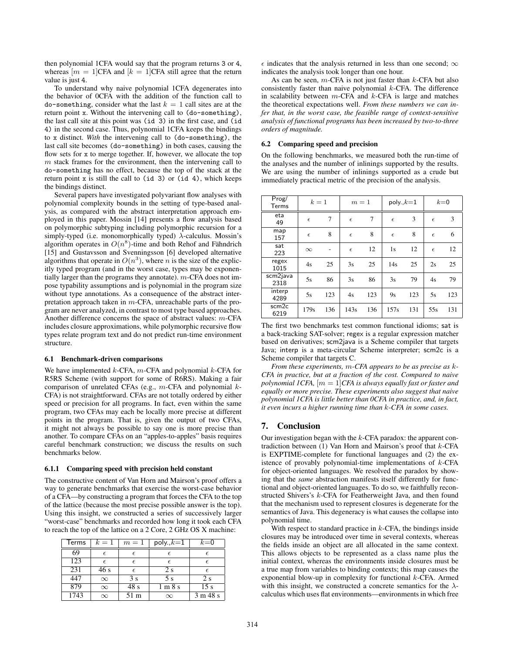then polynomial 1CFA would say that the program returns 3 or 4, whereas  $[m = 1]$ CFA and  $[k = 1]$ CFA still agree that the return value is just 4.

To understand why naive polynomial 1CFA degenerates into the behavior of 0CFA with the addition of the function call to  $\phi$ -something, consider what the last  $k = 1$  call sites are at the return point x. Without the intervening call to (do-something), the last call site at this point was (id 3) in the first case, and (id 4) in the second case. Thus, polynomial 1CFA keeps the bindings to x distinct. *With* the intervening call to (do-something), the last call site becomes (do-something) in both cases, causing the flow sets for x to merge together. If, however, we allocate the top  $m$  stack frames for the environment, then the intervening call to do-something has no effect, because the top of the stack at the return point  $x$  is still the call to (id 3) or (id 4), which keeps the bindings distinct.

Several papers have investigated polyvariant flow analyses with polynomial complexity bounds in the setting of type-based analysis, as compared with the abstract interpretation approach employed in this paper. Mossin [14] presents a flow analysis based on polymorphic subtyping including polymorphic recursion for a simply-typed (i.e. monomorphically typed)  $\lambda$ -calculus. Mossin's algorithm operates in  $O(n^8)$ -time and both Rehof and Fähndrich [15] and Gustavsson and Svenningsson [6] developed alternative algorithms that operate in  $O(n^3)$ , where *n* is the size of the explicitly typed program (and in the worst case, types may be exponentially larger than the programs they annotate). m-CFA does not impose typability assumptions and is polynomial in the program size without type annotations. As a consequence of the abstract interpretation approach taken in  $m$ -CFA, unreachable parts of the program are never analyzed, in contrast to most type based approaches. Another difference concerns the space of abstract values: m-CFA includes closure approximations, while polymorphic recursive flow types relate program text and do not predict run-time environment structure.

### 6.1 Benchmark-driven comparisons

We have implemented  $k$ -CFA,  $m$ -CFA and polynomial  $k$ -CFA for R5RS Scheme (with support for some of R6RS). Making a fair comparison of unrelated CFAs (e.g.,  $m$ -CFA and polynomial  $k$ -CFA) is not straightforward. CFAs are not totally ordered by either speed or precision for all programs. In fact, even within the same program, two CFAs may each be locally more precise at different points in the program. That is, given the output of two CFAs, it might not always be possible to say one is more precise than another. To compare CFAs on an "apples-to-apples" basis requires careful benchmark construction; we discuss the results on such benchmarks below.

#### 6.1.1 Comparing speed with precision held constant

The constructive content of Van Horn and Mairson's proof offers a way to generate benchmarks that exercise the worst-case behavior of a CFA—by constructing a program that forces the CFA to the top of the lattice (because the most precise possible answer is the top). Using this insight, we constructed a series of successively larger "worst-case" benchmarks and recorded how long it took each CFA to reach the top of the lattice on a 2 Core, 2 GHz OS X machine:

| Terms | $k=1$      | $m=1$      | poly., $k=1$ | $k=0$           |  |
|-------|------------|------------|--------------|-----------------|--|
| 69    | $\epsilon$ | $\epsilon$ | Е            |                 |  |
| 123   | E          | $\epsilon$ | €            |                 |  |
| 231   | 46 s       | E          | 2 s          |                 |  |
| 447   | $\infty$   | 3s         | 5 s          | 2s              |  |
| 879   | $\infty$   | 48 s       | 1 m 8 s      | 15 <sub>s</sub> |  |
| 1743  | $\infty$   | 51 m       | $\infty$     | 3 m 48 s        |  |

 $\epsilon$  indicates that the analysis returned in less than one second;  $\infty$ indicates the analysis took longer than one hour.

As can be seen,  $m$ -CFA is not just faster than  $k$ -CFA but also consistently faster than naive polynomial  $k$ -CFA. The difference in scalability between  $m$ -CFA and  $k$ -CFA is large and matches the theoretical expectations well. *From these numbers we can infer that, in the worst case, the feasible range of context-sensitive analysis of functional programs has been increased by two-to-three orders of magnitude.*

# 6.2 Comparing speed and precision

On the following benchmarks, we measured both the run-time of the analyses and the number of inlinings supported by the results. We are using the number of inlinings supported as a crude but immediately practical metric of the precision of the analysis.

| Prog/<br><b>Terms</b>     | $k=1$      |     | $m=1$      |     | poly., $k=1$ |     | $k=0$      |     |
|---------------------------|------------|-----|------------|-----|--------------|-----|------------|-----|
| eta<br>49                 | $\epsilon$ | 7   | $\epsilon$ | 7   | $\epsilon$   | 3   | $\epsilon$ | 3   |
| map<br>157                | $\epsilon$ | 8   | $\epsilon$ | 8   | $\epsilon$   | 8   | $\epsilon$ | 6   |
| sat<br>223                | $\infty$   |     | $\epsilon$ | 12  | 1s           | 12  | $\epsilon$ | 12  |
| regex<br>1015             | 4s         | 25  | 3s         | 25  | 14s          | 25  | 2s         | 25  |
| scm2java<br>2318          | 5s         | 86  | 3s         | 86  | 3s           | 79  | 4s         | 79  |
| interp<br>4289            | 5s         | 123 | 4s         | 123 | 9s           | 123 | 5s         | 123 |
| scm <sub>2c</sub><br>6219 | 179s       | 136 | 143s       | 136 | 157s         | 131 | 55s        | 131 |

The first two benchmarks test common functional idioms; sat is a back-tracking SAT-solver; regex is a regular expression matcher based on derivatives; scm2java is a Scheme compiler that targets Java; interp is a meta-circular Scheme interpreter; scm2c is a Scheme compiler that targets C.

*From these experiments,* m*-CFA appears to be as precise as* k*-CFA in practice, but at a fraction of the cost. Compared to naive polynomial 1CFA,* [m = 1]*CFA is always equally fast or faster and equally or more precise. These experiments also suggest that naive polynomial 1CFA is little better than 0CFA in practice, and, in fact, it even incurs a higher running time than* k*-CFA in some cases.*

# 7. Conclusion

Our investigation began with the  $k$ -CFA paradox: the apparent contradiction between  $(1)$  Van Horn and Mairson's proof that  $k$ -CFA is EXPTIME-complete for functional languages and (2) the existence of provably polynomial-time implementations of  $k$ -CFA for object-oriented languages. We resolved the paradox by showing that the *same* abstraction manifests itself differently for functional and object-oriented languages. To do so, we faithfully reconstructed Shivers's k-CFA for Featherweight Java, and then found that the mechanism used to represent closures is degenerate for the semantics of Java. This degeneracy is what causes the collapse into polynomial time.

With respect to standard practice in  $k$ -CFA, the bindings inside closures may be introduced over time in several contexts, whereas the fields inside an object are all allocated in the same context. This allows objects to be represented as a class name plus the initial context, whereas the environments inside closures must be a true map from variables to binding contexts; this map causes the exponential blow-up in complexity for functional k-CFA. Armed with this insight, we constructed a concrete semantics for the  $\lambda$ calculus which uses flat environments—environments in which free